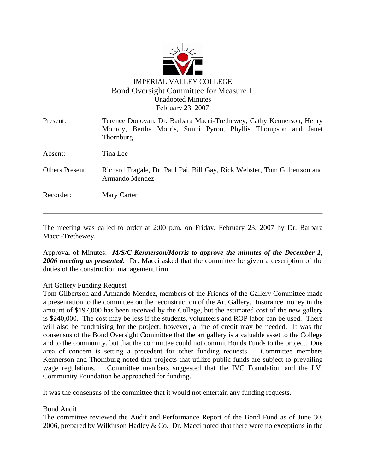

| Present:               | Terence Donovan, Dr. Barbara Macci-Trethewey, Cathy Kennerson, Henry<br>Monroy, Bertha Morris, Sunni Pyron, Phyllis Thompson and Janet<br>Thornburg |
|------------------------|-----------------------------------------------------------------------------------------------------------------------------------------------------|
| Absent:                | Tina Lee                                                                                                                                            |
| <b>Others Present:</b> | Richard Fragale, Dr. Paul Pai, Bill Gay, Rick Webster, Tom Gilbertson and<br>Armando Mendez                                                         |
| Recorder:              | Mary Carter                                                                                                                                         |

The meeting was called to order at 2:00 p.m. on Friday, February 23, 2007 by Dr. Barbara Macci-Trethewey.

Approval of Minutes: *M/S/C Kennerson/Morris to approve the minutes of the December 1, 2006 meeting as presented.* Dr. Macci asked that the committee be given a description of the duties of the construction management firm.

### Art Gallery Funding Request

Tom Gilbertson and Armando Mendez, members of the Friends of the Gallery Committee made a presentation to the committee on the reconstruction of the Art Gallery. Insurance money in the amount of \$197,000 has been received by the College, but the estimated cost of the new gallery is \$240,000. The cost may be less if the students, volunteers and ROP labor can be used. There will also be fundraising for the project; however, a line of credit may be needed. It was the consensus of the Bond Oversight Committee that the art gallery is a valuable asset to the College and to the community, but that the committee could not commit Bonds Funds to the project. One area of concern is setting a precedent for other funding requests. Committee members Kennerson and Thornburg noted that projects that utilize public funds are subject to prevailing wage regulations. Committee members suggested that the IVC Foundation and the I.V. Community Foundation be approached for funding.

It was the consensus of the committee that it would not entertain any funding requests.

### Bond Audit

The committee reviewed the Audit and Performance Report of the Bond Fund as of June 30, 2006, prepared by Wilkinson Hadley  $& Co$ . Dr. Macci noted that there were no exceptions in the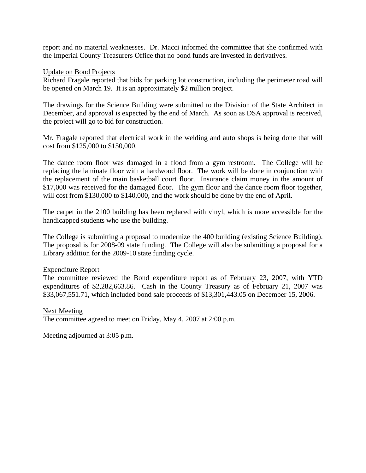report and no material weaknesses. Dr. Macci informed the committee that she confirmed with the Imperial County Treasurers Office that no bond funds are invested in derivatives.

### Update on Bond Projects

Richard Fragale reported that bids for parking lot construction, including the perimeter road will be opened on March 19. It is an approximately \$2 million project.

The drawings for the Science Building were submitted to the Division of the State Architect in December, and approval is expected by the end of March. As soon as DSA approval is received, the project will go to bid for construction.

Mr. Fragale reported that electrical work in the welding and auto shops is being done that will cost from \$125,000 to \$150,000.

The dance room floor was damaged in a flood from a gym restroom. The College will be replacing the laminate floor with a hardwood floor. The work will be done in conjunction with the replacement of the main basketball court floor. Insurance claim money in the amount of \$17,000 was received for the damaged floor. The gym floor and the dance room floor together, will cost from \$130,000 to \$140,000, and the work should be done by the end of April.

The carpet in the 2100 building has been replaced with vinyl, which is more accessible for the handicapped students who use the building.

The College is submitting a proposal to modernize the 400 building (existing Science Building). The proposal is for 2008-09 state funding. The College will also be submitting a proposal for a Library addition for the 2009-10 state funding cycle.

### Expenditure Report

The committee reviewed the Bond expenditure report as of February 23, 2007, with YTD expenditures of \$2,282,663.86. Cash in the County Treasury as of February 21, 2007 was \$33,067,551.71, which included bond sale proceeds of \$13,301,443.05 on December 15, 2006.

### Next Meeting

The committee agreed to meet on Friday, May 4, 2007 at 2:00 p.m.

Meeting adjourned at 3:05 p.m.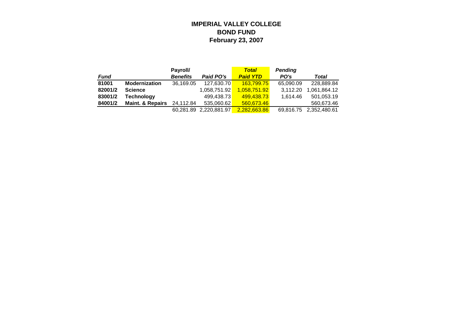### **IMPERIAL VALLEY COLLEGE BOND FUND February 23, 2007**

|         |                             | Payroll/        |                        | <b>Total</b>    | <b>Pending</b> |              |
|---------|-----------------------------|-----------------|------------------------|-----------------|----------------|--------------|
| Fund    |                             | <b>Benefits</b> | Paid PO's              | <b>Paid YTD</b> | PO's           | Total        |
| 81001   | <b>Modernization</b>        | 36,169.05       | 127.630.70             | 163.799.75      | 65,090.09      | 228.889.84   |
| 82001/2 | <b>Science</b>              |                 | 1,058,751.92           | 1.058.751.92    | 3.112.20       | 1,061,864.12 |
| 83001/2 | Technology                  |                 | 499.438.73             | 499.438.73      | 1.614.46       | 501.053.19   |
| 84001/2 | <b>Maint. &amp; Repairs</b> | 24,112.84       | 535,060.62             | 560,673.46      |                | 560,673.46   |
|         |                             |                 | 60,281.89 2,220,881.97 | 2.282.663.86    | 69,816.75      | 2,352,480.61 |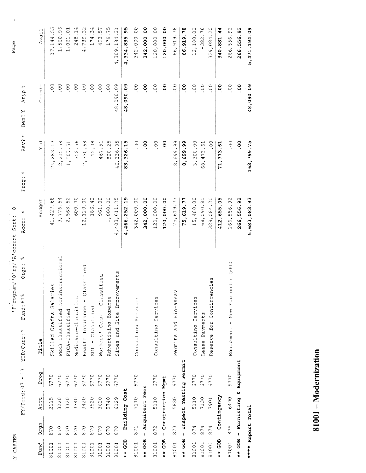| ٦<br>ŕ. |
|---------|
|         |

Pirogram/'O'rg/'A'ccount Sort: O

Page

 $\overline{a}$ 

|                                                 | Avail  | LN.<br>ഗ<br>4<br>$\frac{4}{14}$<br>7,                        | $\circ$<br>C<br>560<br>$\vec{r}$        | $\circ$ .<br>1,061        | 4<br>$\mathbf{r}$<br>248 | 32<br>4,789                                        | 4<br>S<br>174        | ഗ<br>493                           | ഗ<br>$\overline{r}$<br>179 | $\overline{\phantom{0}}$<br>S<br>4,309,184 | ഗ<br>4,334,835.9 | 342,000.00          | 342,000.00       | 120,000.00             | 120,000.00        | 66,919.78                   | 66,919.78                | 12,180.00           | $-382.76$         | O<br>329,084.2                      | ₹<br>÷<br>340,881 | $\Im$<br>266,556.                                           | 92<br>266,556             | 5,471,194.09               |
|-------------------------------------------------|--------|--------------------------------------------------------------|-----------------------------------------|---------------------------|--------------------------|----------------------------------------------------|----------------------|------------------------------------|----------------------------|--------------------------------------------|------------------|---------------------|------------------|------------------------|-------------------|-----------------------------|--------------------------|---------------------|-------------------|-------------------------------------|-------------------|-------------------------------------------------------------|---------------------------|----------------------------|
| $\gamma_0$<br>Atyp<br>≻<br>Ben?                 | Commit | $\stackrel{\circ}{\circ}$                                    | So.                                     | $\overline{0}$ .          | $\circ$ .                | $00$ .                                             | 00.                  | 00.                                | $\circ$                    | 48,090.09                                  | 48,090.09        | °o.                 | 00.              | $00$ .                 | °                 | $\overline{0}$ .            | °                        | °C.                 | $\sim$            | $\sim$                              | °                 | °O.                                                         | $\overline{5}$            | 48,090.09                  |
| $\subset$<br>Rev?<br>do<br>$\ddot{\phantom{0}}$ | Ytd    | S<br>H<br>283<br>$\overline{24}$                             | $^{\circ}$<br>ഗ<br>2,215                | $\overline{5}$ .<br>1,507 | 56<br>352                | 68<br>330<br>$\overline{r}$                        | .08<br>$\frac{2}{1}$ | $-51$<br>467.                      | ഗ<br>$\mathcal{L}$<br>820  | ഗ<br>336.8<br>46,                          | 83,326.15        | 00.                 | $\overline{0}$   | 00.                    | °                 | .99<br>699.<br>$\infty$     | 8,699.99                 | 3,300.00            | $-6$<br>68,473    | °°.                                 | 71, 773.61        | °°.                                                         | °o.                       | 163,799.75                 |
| Prog<br>оЮ<br>Acct                              | Budget | $\frac{8}{9}$<br>427<br>$\overline{ }$<br>4                  | 4<br>ഗ<br>776.<br>$\tilde{\mathcal{E}}$ | 2,568.52                  | 600.70                   | ,120.00<br>$\sim$<br>$\blacksquare$                | 186.42               | 961.08                             | 1,000.00                   | ഗ<br>$\ddot{\sim}$<br>,403,611<br>4        | 466,252.19<br>÷  | 342,000.00          | 342,000.00       | 120,000.00             | 120,000.00        | 75,619.77                   | 75,619.77                | 15,480.00           | 68,090.85         | .20<br>329,084                      | 412,655.05        | 266,556.92                                                  | $\overline{9}$<br>266,556 | $\frac{3}{2}$<br>5,683,083 |
| olo<br>Orgn:<br>оЮ<br>Fund: 81<br>YTD/Curr: Y   | Title  | $\overset{\circ}{\mathbb{Q}}$<br>Salari<br>Crafts<br>Skilled | structional<br>Classified Nonin<br>PERS | FICA-Classified           | Medicare-Classified      | assified<br>J<br>$\mathfrak i$<br>Health Insurance | $SUI - Classisticed$ | ified<br>Class<br>Como<br>Workers' | Advertising Expense        | ements<br>and Site Improv<br>Sites         |                  | Consulting Services |                  | Services<br>Consultina |                   | Bio-assay<br>and<br>Permits |                          | Consulting Services | Payments<br>Iease | cies<br>Continger<br>for<br>Reserve |                   | 5000<br>under<br>$E$ ap<br>New<br>$\mathbf{i}$<br>Equipment |                           |                            |
| $13$<br>$\pmb{\mathfrak{t}}$                    | Prog   | 6770                                                         | 6770                                    | 6770                      | 6770                     | 6770                                               | 6770                 | 6770                               | 6770                       | 6770                                       |                  | 6770                |                  | 6770                   |                   | 6770                        |                          | 6770                | 6770              | 6770                                |                   | 6770                                                        | Equipment                 |                            |
| FY/Perd: 07                                     | Acct   | 2115                                                         | 3220                                    | 3320                      | 3340                     | 3420                                               | 3520                 | 3620                               | 5740                       | 6129                                       | - Building Cost  | 5110                | - Arquitect Fees | 5110                   | Construction Mgmt | 5830                        | - Inspect Testing Permit | 5110                | 7130              | 7901                                | Contingency       | 6490                                                        | u                         |                            |
|                                                 | Orgn   | 870                                                          | 870                                     | 870                       | 870                      | 870                                                | 870                  | 870                                | 870                        | 870                                        |                  | 871                 |                  | 872                    | $\bar{\rm t}$     | 873                         |                          | 874                 | 874               | 874                                 | $\mathbf{I}$      | 875                                                         | $**$ GOB - Furnishing     | **** Report Total          |
|                                                 | Fund   | 81001                                                        | 81001                                   | 81001                     | 81001                    | 81001                                              | 81001                | 81001                              | 81001                      | 81001                                      | $$ GOB           | 81001               | $***$ GOB        | 81001                  | $***$ GOB         | 81001                       | $***$ GOB                | 81001               | 81001             | 81001                               | $***$ GOB         | 81001                                                       |                           |                            |

81001 - Modernization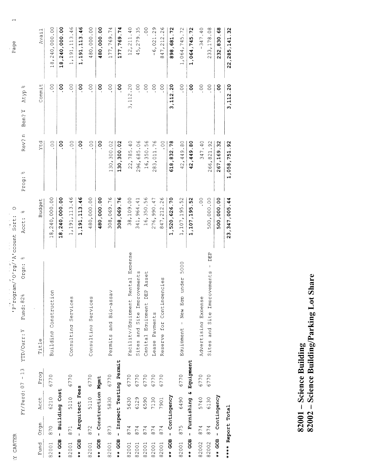| Ľ |  |
|---|--|
|   |  |
|   |  |

 $\frac{1}{2}$  rogram/'0'rg/'A'ccount Sort: 0

Page

 $\overline{a}$ 

| 22, 285, 141.32 | 3,112.20              | 1,058,751.92         | 23, 347, 005.44 |                                          |      |                          |                     | **** Report Total             |
|-----------------|-----------------------|----------------------|-----------------|------------------------------------------|------|--------------------------|---------------------|-------------------------------|
| 232,830.68      | ိ                     | 267,169.32           | 500,000.00      |                                          |      | - Contingency            |                     | $**$ GOB                      |
| 233,178.08      | °°                    | 266,821.92           | 500,000.00      | DEP<br>Sites and Site Improvements       | 6770 | 6130                     | 874                 | 82002                         |
| $-347.40$       | So.                   | 347.40               | $\ddot{\circ}$  | Advertising Expense                      | 6770 | 5740                     | 874                 | 82002                         |
| 1,064,745.72    | °                     | 42,449.80            | 1,107,195.52    |                                          |      | - Furnishing & Equipment |                     | $**$ GOB                      |
| 1,064,745.72    | 00                    | 42,449.80            | 1, 107, 195.52  | 5000<br>under<br>New Ecro<br>Eauipment - | 6770 | 6490                     | 875                 | 82001                         |
| 898,681.72      | 3,112.20              | 618, 832.78          | 1,520,626.70    |                                          |      | - Contingency            |                     | $***$ GOB                     |
| 847, 212.26     | °°                    | O.                   | 847, 212.26     | Reserve for Contingencies                | 6770 | 7901                     | 874                 | 82001                         |
| $-6,021.29$     | $\circ$ .             | 283, 011.76          | 276,990.47      | Payments<br>Lease                        | 6770 | 7130                     | 874                 | 82001                         |
| $\frac{0}{0}$   | 00.                   | 16,350.56            | 16,350.56       | Asset<br>Capital Equipment DEP           | 6770 | 6590                     | 874                 | 82001                         |
| 45,279.35       | SO.                   | 296,685.06           | 341,964.41      | Sites and Site Improvements              | 6770 | 6129                     | 4<br>$\overline{8}$ | 82001                         |
| 12, 211.40      | 3, 112.20             | 22,785.40            | 38,109.00       | Expense<br>Rental<br>Facility/Equipment  | 6770 | 5630                     | 874                 | 82001                         |
| 177,769.74      | o<br>0                | 130,300.02           | 308,069.76      |                                          |      | Inspect Testing Permit   | Ĭ.                  | $\frac{1}{2}$ + $\frac{1}{2}$ |
| 177,769.74      | °0.                   | 130,300.02           | 308,069.76      | Permits and Bio-assav                    | 6770 | 5830                     | 873                 | 82001                         |
| 480,000.00      | °                     | °                    | 480,000.00      |                                          |      | - Construction Mgmt      |                     | $**$ GOB                      |
| 480,000.00      | °°                    | $\frac{0}{0}$        | 480,000.00      | Consultina Services                      | 6770 | 5110                     | 872                 | 82001                         |
| 1,191,113.46    | oo                    | ိ                    | 1,191,113.46    |                                          |      | - Arquitect Fees         |                     | $***$ GOB                     |
| 1,191,113.46    | $\frac{0}{1}$         | $\sim$               | 1, 191, 113.46  | Consulting Services                      | 6770 | 5110                     | 871                 | 82001                         |
| 18,240,000.00   | °                     | ိ                    | 18,240,000.00   |                                          |      | - Building Cost          |                     | $***$ GOB                     |
| 18,240,000.00   | $\circ$ .             | °C.                  | 18,240,000.00   | Building Construction                    | 6770 | 6210                     | 870                 | 82001                         |
| Avail           | Commit                | Ytd                  | Budget          | Title                                    | Prog | Acct                     | Orgn                | Fund                          |
|                 | olo<br>Atyp<br>Ben? Y | Rev?n<br>olo<br>Prog | olo<br>Acct:    | olo<br>Orgn:<br>Fund: 82%<br>YTD/Curr: Y |      | $FY/Perd: 07 - 13$       |                     |                               |

82001 – Science Building<br>82002 – Science Building/Parking Lot Share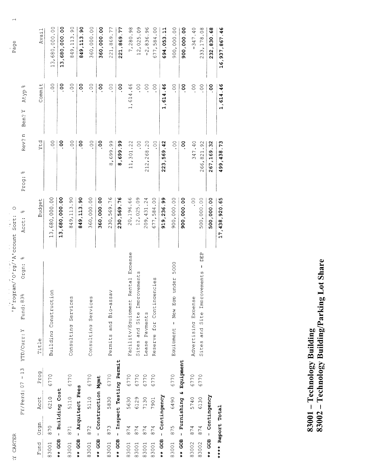| f<br>f |  |
|--------|--|
|        |  |

 $\frac{1}{2} \frac{1}{2} \frac{\cos^2 n}{\cos^2 n}$  of  $\frac{1}{2} \frac{1}{2} \frac{1}{2} \frac{1}{2} \cos n$  sort: 0

Page

 $\overline{\phantom{0}}$ 

|                   |      |                          | $FY/Perd: 07 - 13$ | olo<br>Orgn:<br>Fund: 83%<br>YTD/Curr: Y | olo<br>Acct:  | Rev?n<br>$q_0$<br>Prog: | oļO<br>Atyp<br>Ben? Y |               |
|-------------------|------|--------------------------|--------------------|------------------------------------------|---------------|-------------------------|-----------------------|---------------|
| Fund              | Orgn | Acct                     | Prog               | Title                                    | Budget        | rtd                     | Commit                | Avail         |
| 83001             | 870  | 6210                     | 6770               | Building Construction                    | 13,680,000.00 | °°.                     | SO                    | 13,680,000.00 |
| $***$ GOB         |      | - Building Cost          |                    |                                          | 13,680,000.00 | °                       | 8o                    | 13,680,000.00 |
| 83001             | 871  | 5110                     | 6770               | Consulting Services                      | 849,113.90    | So.                     | $\circ$ .             | 849, 113.90   |
| $***$ GOB         |      | - Arquitect Fees         |                    |                                          | 849,113.90    | °                       | ိ                     | 849,113.90    |
| 83001             | 872  | 5110                     | 6770               | Consulting Services                      | 360,000.00    | °°.                     | $\circ$ .             | 360,000.00    |
| $**$ GOB          |      | - Construction Mgmt      |                    |                                          | 360,000.00    | °                       | °                     | 360,000.00    |
| 83001             | 873  | 5830                     | 6770               | Permits and Bio-assay                    | 230,569.76    | 8,699.99                | SO.                   | 221,869.77    |
| $***$ GOB         |      | - Inspect Testing Permit |                    |                                          | 230, 569. 76  | 8,699.99                | oo.                   | 221,869.77    |
| 83001             | 874  | 5630                     | 6770               | Facility/Equipment Rental Expense        | 20,196.66     | 11,301.22               | 1,614.46              | 7,280.98      |
| 83001             | 874  | 6129                     | 6770               | Improvements<br>and Site<br>Sites        | 12,025.09     | S<br>C                  | $\circ$ .             | 12,025.09     |
| 83001             | 874  | 7130                     | 6770               | Payments<br>Lease                        | 209, 431.24   | 212,268.20              | $\sum_{i=1}^{n}$      | $-2, 836.96$  |
| 83001             | 874  | 7901                     | 6770               | Reserve for Contingencies                | 677,584.00    | SO.                     | SO.                   | 677,584.00    |
| $***$ GOB         |      | - Contingency            |                    |                                          | 919, 236.99   | 223, 569.42             | 1,614.46              | 694,053.11    |
| 83001             | 875  | 6490                     | 6770               | 5000<br>under<br>Equipment - New Eap     | 900,000.00    | °°.                     | $\circ$ .             | 900,000.00    |
| $**$ GOB          |      | - Furnishing &           | Equipment          |                                          | 900,000.00    | °o                      | °o                    | 900,000.00    |
| 83002             | 874  | 5740                     | 6770               | Advertising Expense                      | °C.           | 347.40                  | °°                    | $-347.40$     |
| 83002             | 874  | 6130                     | 6770               | DEP<br>ï<br>Sites and Site Improvements  | 500,000.00    | 266,821.92              | °°.                   | 233, 178.08   |
|                   |      | ** GOB - Contingency     |                    |                                          | 500,000.00    | 267,169.32              | °                     | 232,830.68    |
| **** Report Total |      |                          |                    |                                          | 17,438,920.65 | 499, 438.73             | 1,614.46              | 16,937,867.46 |

83001 – Technology Building<br>83002 – Technology Building/Parking Lot Share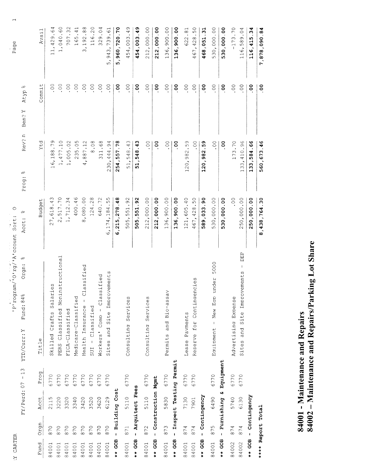| ٢<br>ł,<br>ĉ<br>F.<br>٦<br>ĵ |
|------------------------------|
|                              |

program/org/Advocant Sort: 0

Page

 $\overline{\phantom{0}}$ 

| Fund      | orgn              | Acct                | Prog                     | Title                                                      | Budget                       | rtd            | Commit           | Avail                                 |
|-----------|-------------------|---------------------|--------------------------|------------------------------------------------------------|------------------------------|----------------|------------------|---------------------------------------|
| 84001     | 870               | 2115                | 6770                     | Salaries<br>Crafts<br>Skilled                              | Μ<br>$\frac{1}{4}$<br>27,618 | 6,188.79       | °O.              | 4<br>ف<br>,429<br>$\overline{11}$     |
| 84001     | 870               | 3220                | 6770                     | nstructional<br>PERS Classified Noni                       | 2,517.70                     | 1,477.10       | $\overline{0}$ . | 1,040.60                              |
| 84001     | 870               | 3320                | 6770                     | FICA-Classified                                            | 1,712.34                     | 1,005.02       | $\sum_{i=1}^{n}$ | 707.32                                |
| 84001     | 870               | 3340                | 6770                     | Medicare-Classified                                        | 400.46                       | 235.05         | $\circ$ .        | $\overline{\phantom{0}}$<br>4.<br>165 |
| 84001     | 870               | 3420                | 6770                     | Classified<br>$\overline{\phantom{a}}$<br>Health Insurance | 8,080.00                     | 4,887.12       | . $^{\circ}$     | 3, 192.88                             |
| 84001     | 870               | 3520                | 6770                     | - Classified<br>SUI                                        | 124.28                       | 8.08           | 00.              | $\circ$<br>116.2                      |
| 84001     | 870               | 3620                | 6770                     | Classified<br>Workers' Comp -                              | 640.72                       | .68<br>311     | $\circ$ .        | 329.04                                |
| 84001     | 870               | 6129                | 6770                     | Site Improvements<br>and<br>Sites                          | .55<br>6,174,184             | 230,444.94     | $\sim$           | , 943, 739.61<br>ഗ                    |
| $**$ GOB  |                   | - Building Cost     |                          |                                                            | 6, 215, 278.48               | 254,557.78     | °°               | 5,960,720.70                          |
| 84001     | 871               | 5110                | 6770                     | Consulting Services                                        | 505,551.92                   | 51,548.43      | °°.              | .49<br>454,003                        |
| $***$ GOB |                   | - Arquitect Fees    |                          |                                                            | 505,551.92                   | 51, 548.43     | °                | O)<br>454,003.4                       |
| 84001     | 872               | 5110                | 6770                     | Consulting Services                                        | 212,000.00                   | $\circ$ .      | °O.              | 212,000.00                            |
| $**$ GOB  |                   | - Construction Mgmt |                          |                                                            | 212,000.00                   | oo.            | °                | 212,000.00                            |
| 84001     | 873               | 5830                | 6770                     | ⋗<br>Bio-assa<br>and<br>Permits                            | 136,900.00                   | $\sim$         | $\sim$           | 136,900.00                            |
| $**$ GOB  |                   |                     | - Inspect Testing Permit |                                                            | 136,900.00                   | °o             | oo.              | 136,900.00                            |
| 84001     | 874               | 7130                | 6770                     | Payments<br>Iease                                          | 121,605.40                   | 120,982.59     | $\circ$ .        | $\frac{1}{2}$<br>622                  |
| 84001     | 874               | 7901                | 6770                     | Reserve for Contingencies                                  | 467, 428.50                  | °C.            | °°.              | 467, 428.50                           |
| $**$ GOB  |                   | - Contingency       |                          |                                                            | 589,033.90                   | 120,982.59     | °o               | 468,051.31                            |
| 84001     | 875               | 6490                | 6770                     | 5000<br>under<br>Eap<br>New<br>$\mathbf{I}$<br>Eauipment   | 530,000.00                   | °0.            | $\circ$ .        | 530,000.00                            |
| $**$ GOB  |                   | w<br>- Furnishing   | Equipment                |                                                            | 530,000.00                   | $\overline{0}$ | Θ.               | 530,000.00                            |
| 84002     | 874               | 5740                | 6770                     | Advertising Expense                                        | 0 <sup>o</sup>               | 173.70         | $\circ$ .        | $-173.70$                             |
| 84002     | 874               | 6130                | 6770                     | DEP<br>$\mathbf{I}$<br>Site Improvements<br>Sites and      | 250,000.00                   | .410.96<br>133 | $00$ .           | .04<br>116,589                        |
| $**$ GOB  |                   | - Contingency       |                          |                                                            | 250,000.00                   | 133,584.66     | °°               | 34<br>116,415                         |
|           | **** Report Total |                     |                          |                                                            | 8,438,764.30                 | 560,673.46     | oo.              | 7,878,090.84                          |

# 84001 - Maintenance and Repairs<br>84002 – Maintenance and Repairs/Parking Lot Share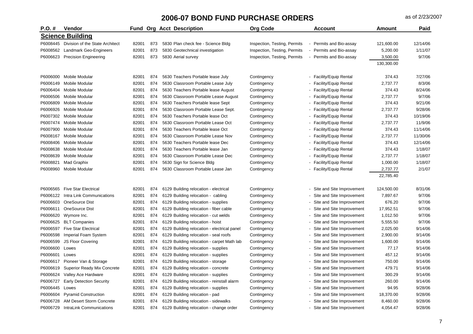| $P.O. \#$ | Vendor                                   | Fund  |     | <b>Org Acct Description</b>                 | <b>Org Code</b>              | <b>Account</b>                                        | <b>Amount</b> | Paid     |
|-----------|------------------------------------------|-------|-----|---------------------------------------------|------------------------------|-------------------------------------------------------|---------------|----------|
|           | <b>Science Building</b>                  |       |     |                                             |                              |                                                       |               |          |
|           | P6008445 Division of the State Architect | 82001 | 873 | 5830 Plan check fee - Science Bldg          | Inspection, Testing, Permits | - Permits and Bio-assay                               | 121,600.00    | 12/14/06 |
| P6008562  | Landmark Geo-Engineers                   | 82001 | 873 | 5830 Geotechnical investigation             | Inspection, Testing, Permits | Permits and Bio-assay                                 | 5,200.00      | 1/11/07  |
| P6006623  | <b>Precision Engineering</b>             | 82001 | 873 | 5830 Aerial survey                          | Inspection, Testing, Permits | Permits and Bio-assay                                 | 3,500.00      | 9/7/06   |
|           |                                          |       |     |                                             |                              |                                                       | 130,300.00    |          |
| P6006000  | Mobile Modular                           | 82001 | 874 | 5630 Teachers Portable lease July           | Contingency                  | - Facility/Equip Rental                               | 374.43        | 7/27/06  |
| P6006149  | Mobile Modular                           | 82001 | 874 | 5630 Classroom Portable Lease July          | Contingency                  | <b>Facility/Equip Rental</b>                          | 2,737.77      | 8/3/06   |
| P6006404  | Mobile Modular                           | 82001 | 874 | 5630 Teachers Portable lease August         | Contingency                  | - Facility/Equip Rental                               | 374.43        | 8/24/06  |
| P6006506  | Mobile Modular                           | 82001 | 874 | 5630 Classroom Portable Lease August        | Contingency                  | - Facility/Equip Rental                               | 2,737.77      | 9/7/06   |
| P6006809  | Mobile Modular                           | 82001 | 874 | 5630 Teachers Portable lease Sept           | Contingency                  | <b>Facility/Equip Rental</b>                          | 374.43        | 9/21/06  |
| P6006926  | Mobile Modular                           | 82001 | 874 | 5630 Classroom Portable Lease Sept.         | Contingency                  | <b>Facility/Equip Rental</b>                          | 2,737.77      | 9/28/06  |
| P6007302  | Mobile Modular                           | 82001 | 874 | 5630 Teachers Portable lease Oct            | Contingency                  | <b>Facility/Equip Rental</b>                          | 374.43        | 10/19/06 |
| P6007474  | Mobile Modular                           | 82001 | 874 | 5630 Classroom Portable Lease Oct           | Contingency                  | - Facility/Equip Rental                               | 2,737.77      | 11/9/06  |
| P6007900  | <b>Mobile Modular</b>                    | 82001 | 874 | 5630 Teachers Portable lease Oct            | Contingency                  | Facility/Equip Rental                                 | 374.43        | 11/14/06 |
| P6008167  | Mobile Modular                           | 82001 | 874 | 5630 Classroom Portable Lease Nov           | Contingency                  | - Facility/Equip Rental                               | 2,737.77      | 11/30/06 |
| P6008406  | Mobile Modular                           | 82001 | 874 | 5630 Teachers Portable lease Dec            | Contingency                  | <b>Facility/Equip Rental</b>                          | 374.43        | 12/14/06 |
| P6008638  | Mobile Modular                           | 82001 | 874 | 5630 Teachers Portable lease Jan            | Contingency                  | <b>Facility/Equip Rental</b>                          | 374.43        | 1/18/07  |
| P6008639  | Mobile Modular                           | 82001 | 874 | 5630 Classroom Portable Lease Dec           | Contingency                  | <b>Facility/Equip Rental</b>                          | 2,737.77      | 1/18/07  |
| P6008821  | Mad Graphix                              | 82001 | 874 | 5630 Sign for Science Bldg                  | Contingency                  | <b>Facility/Equip Rental</b>                          | 1,000.00      | 1/18/07  |
| P6008960  | <b>Mobile Modular</b>                    | 82001 | 874 | 5630 Classroom Portable Lease Jan           | Contingency                  | - Facility/Equip Rental                               | 2,737.77      | 2/1/07   |
|           |                                          |       |     |                                             |                              |                                                       | 22,785.40     |          |
| P6006565  | <b>Five Star Electrical</b>              | 82001 | 874 | 6129 Building relocation - electrical       | Contingency                  | - Site and Site Improvement                           | 124,500.00    | 8/31/06  |
| P6006122  | Intra Link Communications                | 82001 | 874 | 6129 Building relocation - cabling          | Contingency                  | Site and Site Improvement                             | 7,897.67      | 9/7/06   |
| P6006603  | OneSource Dist                           | 82001 | 874 | 6129 Building relocation - supplies         | Contingency                  | Site and Site Improvement                             | 676.20        | 9/7/06   |
| P6006611  | <b>OneSource Dist</b>                    | 82001 | 874 | 6129 Building relocation - fiber cable      | Contingency                  | Site and Site Improvement<br>$\overline{\phantom{a}}$ | 17,952.51     | 9/7/06   |
| P6006620  | Wymore Inc.                              | 82001 | 874 | 6129 Building relocation - cut welds        | Contingency                  | - Site and Site Improvement                           | 1,012.50      | 9/7/06   |
| P6006625  | <b>BLT Companies</b>                     | 82001 | 874 | 6129 Building relocation - hoist            | Contingency                  | Site and Site Improvement                             | 5,555.50      | 9/7/06   |
| P6006597  | <b>Five Star Electrical</b>              | 82001 | 874 | 6129 Building relocation - electrical panel | Contingency                  | Site and Site Improvement<br>$\overline{\phantom{0}}$ | 2,025.00      | 9/14/06  |
| P6006598  | Imperial Foam System                     | 82001 | 874 | 6129 Building relocation - seal roofs       | Contingency                  | Site and Site Improvement                             | 2,900.00      | 9/14/06  |
| P6006599  | JS Floor Covering                        | 82001 | 874 | 6129 Building relocation - carpet Math lab  | Contingency                  | Site and Site Improvement                             | 1,600.00      | 9/14/06  |
| P6006600  | Lowes                                    | 82001 | 874 | 6129 Building relocation - supplies         | Contingency                  | Site and Site Improvement                             | 77.17         | 9/14/06  |
| P6006601  | Lowes                                    | 82001 | 874 | 6129 Building relocation - supplies         | Contingency                  | Site and Site Improvement<br>$\overline{\phantom{a}}$ | 457.12        | 9/14/06  |
| P6006617  | Pioneer Van & Storage                    | 82001 | 874 | 6129 Building relocation - storage          | Contingency                  | - Site and Site Improvement                           | 750.00        | 9/14/06  |
| P6006619  | Superior Ready Mix Concrete              | 82001 | 874 | 6129 Building relocation - concrete         | Contingency                  | Site and Site Improvement                             | 479.71        | 9/14/06  |
| P6006624  | Valley Ace Hardware                      | 82001 | 874 | 6129 Building relocation - supplies         | Contingency                  | Site and Site Improvement<br>$\overline{\phantom{a}}$ | 300.29        | 9/14/06  |
| P6006727  | <b>Early Detection Security</b>          | 82001 | 874 | 6129 Building relocation - reinstall alarm  | Contingency                  | Site and Site Improvement                             | 260.00        | 9/14/06  |
| P6006445  | Lowes                                    | 82001 | 874 | 6129 Building relocation - supplies         | Contingency                  | Site and Site Improvement                             | 94.95         | 9/28/06  |
| P6006604  | <b>Pyramid Construction</b>              | 82001 | 874 | 6129 Building relocation - pad              | Contingency                  | Site and Site Improvement                             | 18,370.00     | 9/28/06  |
| P6006728  | AM Desert Storm Concrete                 | 82001 | 874 | 6129 Building relocation - sidewalks        | Contingency                  | Site and Site Improvement                             | 8,460.00      | 9/28/06  |
| P6006729  | IntraLink Communications                 | 82001 | 874 | 6129 Building relocation - change order     | Contingency                  | - Site and Site Improvement                           | 4,054.47      | 9/28/06  |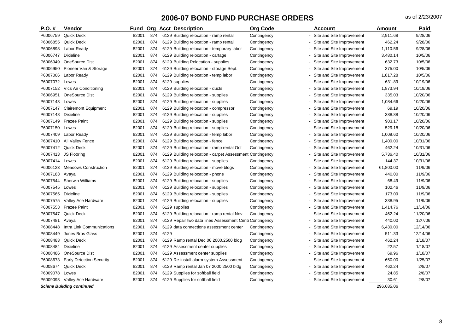| $P.O.$ # | <b>Vendor</b>                    | Fund  |     |      | <b>Org Acct Description</b>                              | <b>Org Code</b> | <b>Account</b>                                        | <b>Amount</b> | Paid     |
|----------|----------------------------------|-------|-----|------|----------------------------------------------------------|-----------------|-------------------------------------------------------|---------------|----------|
| P6006759 | <b>Quick Deck</b>                | 82001 | 874 |      | 6129 Building relocation - ramp rental                   | Contingency     | Site and Site Improvement                             | 2,911.68      | 9/28/06  |
| P6006855 | <b>Quick Deck</b>                | 82001 | 874 |      | 6129 Building relocation - ramp rental                   | Contingency     | - Site and Site Improvement                           | 462.24        | 9/28/06  |
| P6006898 | Labor Ready                      | 82001 | 874 |      | 6129 Building relocation - temporary labor               | Contingency     | Site and Site Improvement                             | 1,110.56      | 9/28/06  |
| P6006747 | Dixieline                        | 82001 | 874 |      | 6129 Building relocation - cartage                       | Contingency     | Site and Site Improvement                             | 3,480.14      | 10/5/06  |
| P6006949 | OneSource Dist                   | 82001 | 874 |      | 6129 Building Relocation - supplies                      | Contingency     | Site and Site Improvement                             | 632.73        | 10/5/06  |
| P6006950 | Pioneer Van & Storage            | 82001 | 874 |      | 6129 Building relocation - storage Sept.                 | Contingency     | Site and Site Improvement                             | 375.00        | 10/5/06  |
| P6007006 | Labor Ready                      | 82001 | 874 |      | 6129 Building relocation - temp labor                    | Contingency     | Site and Site Improvement                             | 1,817.28      | 10/5/06  |
| P6007072 | Lowes                            | 82001 | 874 |      | 6129 supplies                                            | Contingency     | Site and Site Improvement                             | 631.89        | 10/19/06 |
| P6007152 | Vics Air Conditioning            | 82001 | 874 |      | 6129 Building relocation - ducts                         | Contingency     | Site and Site Improvement                             | 1,873.94      | 10/19/06 |
| P6006951 | <b>OneSource Dist</b>            | 82001 | 874 |      | 6129 Building relocation - supplies                      | Contingency     | Site and Site Improvement                             | 335.03        | 10/20/06 |
| P6007143 | Lowes                            | 82001 | 874 |      | 6129 Building relocation - supplies                      | Contingency     | Site and Site Improvement                             | 1,084.66      | 10/20/06 |
| P6007147 | <b>Clairemont Equipment</b>      | 82001 | 874 |      | 6129 Building relocation - compressor                    | Contingency     | Site and Site Improvement                             | 69.19         | 10/20/06 |
| P6007148 | <b>Dixieline</b>                 | 82001 | 874 |      | 6129 Building relocation - supplies                      | Contingency     | Site and Site Improvement<br>$\overline{\phantom{a}}$ | 388.88        | 10/20/06 |
| P6007149 | <b>Frazee Paint</b>              | 82001 | 874 |      | 6129 Building relocation - supplies                      | Contingency     | Site and Site Improvement                             | 903.17        | 10/20/06 |
| P6007150 | Lowes                            | 82001 | 874 |      | 6129 Building relocation - supplies                      | Contingency     | Site and Site Improvement                             | 529.18        | 10/20/06 |
| P6007409 | Labor Ready                      | 82001 | 874 |      | 6129 Building relocation - temp labor                    | Contingency     | Site and Site Improvement                             | 1,009.60      | 10/20/06 |
| P6007410 | All Valley Fence                 | 82001 | 874 |      | 6129 Building relocation - fence                         | Contingency     | Site and Site Improvement                             | 1,400.00      | 10/31/06 |
| P6007412 | <b>Quick Deck</b>                | 82001 | 874 |      | 6129 Building relocation - ramp rental Oct               | Contingency     | Site and Site Improvement                             | 462.24        | 10/31/06 |
| P6007413 | JS Flooring                      | 82001 | 874 |      | 6129 Building relocation - carpet Assessment Contingency |                 | Site and Site Improvement                             | 5,736.40      | 10/31/06 |
| P6007414 | Lowes                            | 82001 | 874 |      | 6129 Building relocation - supplies                      | Contingency     | Site and Site Improvement                             | 144.37        | 10/31/06 |
| P6006123 | <b>Meadows Construction</b>      | 82001 | 874 |      | 6129 Building relocation - move bldgs                    | Contingency     | Site and Site Improvement                             | 61,800.00     | 11/9/06  |
| P6007183 | Avaya                            | 82001 | 874 |      | 6129 Building relocation - phone                         | Contingency     | Site and Site Improvement                             | 440.00        | 11/9/06  |
| P6007544 | <b>Sherwin Williams</b>          | 82001 | 874 |      | 6129 Building relocation - supplies                      | Contingency     | Site and Site Improvement                             | 68.49         | 11/9/06  |
| P6007545 | Lowes                            | 82001 | 874 |      | 6129 Building relocation - supplies                      | Contingency     | Site and Site Improvement                             | 102.46        | 11/9/06  |
| P6007565 | <b>Dixieline</b>                 | 82001 | 874 |      | 6129 Building relocation - supplies                      | Contingency     | Site and Site Improvement                             | 173.09        | 11/9/06  |
| P6007575 | Valley Ace Hardware              | 82001 | 874 |      | 6129 Building relocation - supplies                      | Contingency     | Site and Site Improvement                             | 338.95        | 11/9/06  |
| P6007553 | <b>Frazee Paint</b>              | 82001 | 874 |      | 6129 supplies                                            | Contingency     | Site and Site Improvement                             | 1,414.76      | 11/14/06 |
| P6007547 | <b>Quick Deck</b>                | 82001 | 874 |      | 6129 Building relocation - ramp rental Nov               | Contingency     | Site and Site Improvement                             | 462.24        | 11/20/06 |
| P6007481 | Avaya                            | 82001 | 874 |      | 6129 Repair two data lines Assessment Cent Contingency   |                 | Site and Site Improvement                             | 440.00        | 12/7/06  |
| P6008448 | Intra Link Communications        | 82001 | 874 |      | 6129 data connections assessment center                  | Contingency     | Site and Site Improvement                             | 6,430.00      | 12/14/06 |
| P6008449 | Jones Bros Glass                 | 82001 | 874 | 6129 |                                                          | Contingency     | Site and Site Improvement                             | 511.33        | 12/14/06 |
| P6008483 | <b>Quick Deck</b>                | 82001 | 874 |      | 6129 Ramp rental Dec 06 2000,2500 bldg                   | Contingency     | Site and Site Improvement                             | 462.24        | 1/18/07  |
| P6008484 | <b>Dixieline</b>                 | 82001 | 874 |      | 6129 Assessment center supplies                          | Contingency     | Site and Site Improvement                             | 22.57         | 1/18/07  |
| P6008486 | OneSource Dist                   | 82001 | 874 |      | 6129 Assessment center supplies                          | Contingency     | Site and Site Improvement                             | 69.96         | 1/18/07  |
| P6008673 | <b>Early Detection Security</b>  | 82001 | 874 |      | 6129 Re-install alarm system Assessment                  | Contingency     | Site and Site Improvement                             | 650.00        | 1/25/07  |
| P6008674 | Quick Deck                       | 82001 | 874 |      | 6129 Ramp rental Jan 07 2000, 2500 bldg                  | Contingency     | Site and Site Improvement                             | 462.24        | 2/8/07   |
| P6009078 | Lowes                            | 82001 | 874 |      | 6129 Supplies for softball field                         | Contingency     | Site and Site Improvement                             | 24.85         | 2/8/07   |
|          | P6009093 Valley Ace Hardware     | 82001 | 874 |      | 6129 Supplies for softball field                         | Contingency     | Site and Site Improvement                             | 30.61         | 2/8/07   |
|          | <b>Sciene Building continued</b> |       |     |      |                                                          |                 |                                                       | 296.685.06    |          |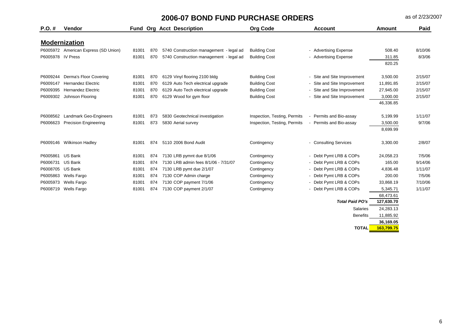| $P.O.$ #          | <b>Vendor</b>                        |       |     | <b>Fund Org Acct Description</b>        | <b>Org Code</b>              | <b>Account</b>              | Amount     | Paid    |
|-------------------|--------------------------------------|-------|-----|-----------------------------------------|------------------------------|-----------------------------|------------|---------|
|                   | <b>Modernization</b>                 |       |     |                                         |                              |                             |            |         |
|                   | P6005972 American Express (SD Union) | 81001 | 870 | 5740 Construction management - legal ad | <b>Building Cost</b>         | - Advertising Expense       | 508.40     | 8/10/06 |
| P6005978 IV Press |                                      | 81001 | 870 | 5740 Construction management - legal ad | <b>Building Cost</b>         | - Advertising Expense       | 311.85     | 8/3/06  |
|                   |                                      |       |     |                                         |                              |                             | 820.25     |         |
| P6009244          | Derma's Floor Covering               | 81001 | 870 | 6129 Vinyl flooring 2100 bldg           | <b>Building Cost</b>         | Site and Site Improvement   | 3,500.00   | 2/15/07 |
| P6009147          | <b>Hernandez Electric</b>            | 81001 | 870 | 6129 Auto Tech electrical upgrade       | <b>Building Cost</b>         | - Site and Site Improvement | 11,891.85  | 2/15/07 |
| P6009395          | <b>Hernandez Electric</b>            | 81001 | 870 | 6129 Auto Tech electrical upgrade       | <b>Building Cost</b>         | - Site and Site Improvement | 27,945.00  | 2/15/07 |
| P6009302          | Johnson Flooring                     | 81001 | 870 | 6129 Wood for gym floor                 | <b>Building Cost</b>         | - Site and Site Improvement | 3,000.00   | 2/15/07 |
|                   |                                      |       |     |                                         |                              |                             | 46,336.85  |         |
|                   |                                      |       |     |                                         |                              |                             |            |         |
| P6008562          | Landmark Geo-Engineers               | 81001 | 873 | 5830 Geotechnical investigation         | Inspection, Testing, Permits | Permits and Bio-assay       | 5,199.99   | 1/11/07 |
| P6006623          | <b>Precision Engineering</b>         | 81001 | 873 | 5830 Aerial survey                      | Inspection, Testing, Permits | - Permits and Bio-assay     | 3,500.00   | 9/7/06  |
|                   |                                      |       |     |                                         |                              |                             | 8,699.99   |         |
|                   | P6009146 Wilkinson Hadley            | 81001 | 874 | 5110 2006 Bond Audit                    | Contingency                  | - Consulting Services       | 3,300.00   | 2/8/07  |
| P6005861          | <b>US Bank</b>                       | 81001 | 874 | 7130 LRB pymnt due 8/1/06               | Contingency                  | - Debt Pymt LRB & COPs      | 24,058.23  | 7/5/06  |
| P6006731          | <b>US Bank</b>                       | 81001 | 874 | 7130 LRB admin fees 8/1/06 - 7/31/07    | Contingency                  | - Debt Pymt LRB & COPs      | 165.00     | 9/14/06 |
| P6008705          | <b>US Bank</b>                       | 81001 | 874 | 7130 LRB pymt due 2/1/07                | Contingency                  | - Debt Pymt LRB & COPs      | 4,836.48   | 1/11/07 |
| P6005863          | Wells Fargo                          | 81001 | 874 | 7130 COP Admin charge                   | Contingency                  | - Debt Pymt LRB & COPs      | 200.00     | 7/5/06  |
| P6005973          | Wells Fargo                          | 81001 | 874 | 7130 COP payment 7/1/06                 | Contingency                  | - Debt Pymt LRB & COPs      | 33,868.19  | 7/10/06 |
| P6008719          | Wells Fargo                          | 81001 | 874 | 7130 COP payment 2/1/07                 | Contingency                  | - Debt Pymt LRB & COPs      | 5,345.71   | 1/11/07 |
|                   |                                      |       |     |                                         |                              |                             | 68,473.61  |         |
|                   |                                      |       |     |                                         |                              | <b>Total Paid PO's</b>      | 127,630.70 |         |
|                   |                                      |       |     |                                         |                              | Salaries                    | 24,283.13  |         |
|                   |                                      |       |     |                                         |                              | <b>Benefits</b>             | 11,885.92  |         |

**36,169.05**

**TOTAL 163,799.75**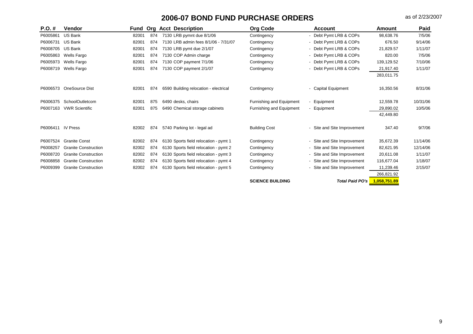| $P.O. \#$         | Vendor                      | Fund  | Ora | <b>Acct Description</b>               | <b>Org Code</b>          | <b>Account</b>              | Amount       | Paid     |
|-------------------|-----------------------------|-------|-----|---------------------------------------|--------------------------|-----------------------------|--------------|----------|
| P6005861          | <b>US Bank</b>              | 82001 | 874 | 7130 LRB pymnt due 8/1/06             | Contingency              | - Debt Pymt LRB & COPs      | 98,638.76    | 7/5/06   |
| P6006731          | <b>US Bank</b>              | 82001 | 874 | 7130 LRB admin fees 8/1/06 - 7/31/07  | Contingency              | - Debt Pymt LRB & COPs      | 676.50       | 9/14/06  |
| P6008705          | <b>US Bank</b>              | 82001 | 874 | 7130 LRB pymt due 2/1/07              | Contingency              | - Debt Pymt LRB & COPs      | 21.829.57    | 1/11/07  |
| P6005863          | <b>Wells Fargo</b>          | 82001 | 874 | 7130 COP Admin charge                 | Contingency              | - Debt Pymt LRB & COPs      | 820.00       | 7/5/06   |
| P6005973          | <b>Wells Fargo</b>          | 82001 | 874 | 7130 COP payment 7/1/06               | Contingency              | - Debt Pymt LRB & COPs      | 139,129.52   | 7/10/06  |
| P6008719          | Wells Fargo                 | 82001 | 874 | 7130 COP payment 2/1/07               | Contingency              | - Debt Pymt LRB & COPs      | 21,917.40    | 1/11/07  |
|                   |                             |       |     |                                       |                          |                             | 283,011.75   |          |
| P6006573          | OneSource Dist              | 82001 | 874 | 6590 Building relocation - electrical | Contingency              | - Capital Equipment         | 16,350.56    | 8/31/06  |
| P6006375          | SchoolOutletcom             | 82001 | 875 | 6490 desks, chairs                    | Furnishing and Equipment | Equipment                   | 12,559.78    | 10/31/06 |
| P6007163          | <b>VWR Scientific</b>       | 82001 | 875 | 6490 Chemical storage cabinets        | Furnishing and Equipment | - Equipment                 | 29,890.02    | 10/5/06  |
|                   |                             |       |     |                                       |                          |                             | 42,449.80    |          |
| P6006411 IV Press |                             | 82002 | 874 | 5740 Parking lot - legal ad           | <b>Building Cost</b>     | Site and Site Improvement   | 347.40       | 9/7/06   |
| P6007524          | <b>Granite Const</b>        | 82002 | 874 | 6130 Sports field relocation - pymt 1 | Contingency              | - Site and Site Improvement | 35,672.39    | 11/14/06 |
| P6008257          | <b>Granite Construction</b> | 82002 | 874 | 6130 Sports field relocation - pymt 2 | Contingency              | - Site and Site Improvement | 82,621.95    | 12/14/06 |
| P6008720          | <b>Granite Construction</b> | 82002 | 874 | 6130 Sports field relocation - pymt 3 | Contingency              | - Site and Site Improvement | 20,611.08    | 1/11/07  |
| P6008858          | <b>Granite Construction</b> | 82002 | 874 | 6130 Sports field relocation - pymt 4 | Contingency              | Site and Site Improvement   | 116,677.04   | 1/18/07  |
| P6009399          | <b>Granite Construction</b> | 82002 | 874 | 6130 Sports field relocation - pymt 5 | Contingency              | Site and Site Improvement   | 11,239.46    | 2/15/07  |
|                   |                             |       |     |                                       |                          |                             | 266,821.92   |          |
|                   |                             |       |     |                                       | <b>SCIENCE BUILDING</b>  | <b>Total Paid PO's</b>      | 1.058.751.89 |          |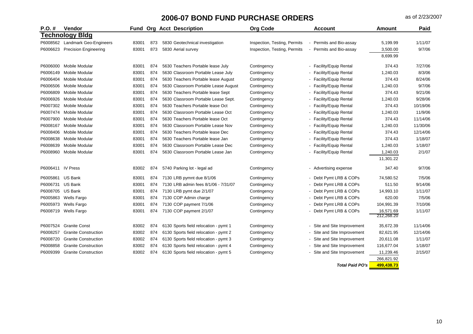| $P.O. \#$         | Vendor                        |       |     | <b>Fund Org Acct Description</b>      | <b>Org Code</b>              | <b>Account</b>              | <b>Amount</b>           | Paid     |
|-------------------|-------------------------------|-------|-----|---------------------------------------|------------------------------|-----------------------------|-------------------------|----------|
|                   | <b>Technology Bldg</b>        |       |     |                                       |                              |                             |                         |          |
| P6008562          | <b>Landmark Geo-Engineers</b> | 83001 | 873 | 5830 Geotechnical investigation       | Inspection, Testing, Permits | Permits and Bio-assay       | 5,199.99                | 1/11/07  |
| P6006623          | <b>Precision Engineering</b>  | 83001 | 873 | 5830 Aerial survey                    | Inspection, Testing, Permits | Permits and Bio-assay       | 3,500.00                | 9/7/06   |
|                   |                               |       |     |                                       |                              |                             | 8,699.99                |          |
| P6006000          | Mobile Modular                | 83001 | 874 | 5630 Teachers Portable lease July     | Contingency                  | - Facility/Equip Rental     | 374.43                  | 7/27/06  |
| P6006149          | Mobile Modular                | 83001 | 874 | 5630 Classroom Portable Lease July    | Contingency                  | - Facility/Equip Rental     | 1,240.03                | 8/3/06   |
| P6006404          | Mobile Modular                | 83001 | 874 | 5630 Teachers Portable lease August   | Contingency                  | - Facility/Equip Rental     | 374.43                  | 8/24/06  |
| P6006506          | Mobile Modular                | 83001 | 874 | 5630 Classroom Portable Lease August  | Contingency                  | - Facility/Equip Rental     | 1,240.03                | 9/7/06   |
| P6006809          | Mobile Modular                | 83001 | 874 | 5630 Teachers Portable lease Sept     | Contingency                  | - Facility/Equip Rental     | 374.43                  | 9/21/06  |
| P6006926          | Mobile Modular                | 83001 | 874 | 5630 Classroom Portable Lease Sept.   | Contingency                  | - Facility/Equip Rental     | 1,240.03                | 9/28/06  |
| P6007302          | Mobile Modular                | 83001 | 874 | 5630 Teachers Portable lease Oct      | Contingency                  | - Facility/Equip Rental     | 374.43                  | 10/19/06 |
| P6007474          | Mobile Modular                | 83001 | 874 | 5630 Classroom Portable Lease Oct     | Contingency                  | - Facility/Equip Rental     | 1,240.03                | 11/9/06  |
| P6007900          | Mobile Modular                | 83001 | 874 | 5630 Teachers Portable lease Oct      | Contingency                  | - Facility/Equip Rental     | 374.43                  | 11/14/06 |
| P6008167          | Mobile Modular                | 83001 | 874 | 5630 Classroom Portable Lease Nov     | Contingency                  | - Facility/Equip Rental     | 1,240.03                | 11/30/06 |
| P6008406          | Mobile Modular                | 83001 | 874 | 5630 Teachers Portable lease Dec      | Contingency                  | - Facility/Equip Rental     | 374.43                  | 12/14/06 |
| P6008638          | Mobile Modular                | 83001 | 874 | 5630 Teachers Portable lease Jan      | Contingency                  | - Facility/Equip Rental     | 374.43                  | 1/18/07  |
| P6008639          | Mobile Modular                | 83001 | 874 | 5630 Classroom Portable Lease Dec     | Contingency                  | Facility/Equip Rental       | 1,240.03                | 1/18/07  |
| P6008960          | Mobile Modular                | 83001 | 874 | 5630 Classroom Portable Lease Jan     | Contingency                  | - Facility/Equip Rental     | 1,240.03                | 2/1/07   |
|                   |                               |       |     |                                       |                              |                             | 11,301.22               |          |
| P6006411 IV Press |                               | 83002 | 874 | 5740 Parking lot - legal ad           | Contingency                  | - Advertising expense       | 347.40                  | 9/7/06   |
| P6005861          | <b>US Bank</b>                | 83001 | 874 | 7130 LRB pymnt due 8/1/06             | Contingency                  | - Debt Pymt LRB & COPs      | 74,580.52               | 7/5/06   |
| P6006731          | US Bank                       | 83001 | 874 | 7130 LRB admin fees 8/1/06 - 7/31/07  | Contingency                  | - Debt Pymt LRB & COPs      | 511.50                  | 9/14/06  |
| P6008705          | <b>US Bank</b>                | 83001 | 874 | 7130 LRB pymt due 2/1/07              | Contingency                  | - Debt Pymt LRB & COPs      | 14,993.10               | 1/11/07  |
| P6005863          | Wells Fargo                   | 83001 | 874 | 7130 COP Admin charge                 | Contingency                  | - Debt Pymt LRB & COPs      | 620.00                  | 7/5/06   |
| P6005973          | Wells Fargo                   | 83001 | 874 | 7130 COP payment 7/1/06               | Contingency                  | - Debt Pymt LRB & COPs      | 104,991.39              | 7/10/06  |
| P6008719          | <b>Wells Fargo</b>            | 83001 | 874 | 7130 COP payment 2/1/07               | Contingency                  | - Debt Pymt LRB & COPs      | 16,571.69<br>212,268.20 | 1/11/07  |
| P6007524          | <b>Granite Const</b>          | 83002 | 874 | 6130 Sports field relocation - pymt 1 | Contingency                  | - Site and Site Improvement | 35,672.39               | 11/14/06 |
| P6008257          | <b>Granite Construction</b>   | 83002 | 874 | 6130 Sports field relocation - pymt 2 | Contingency                  | - Site and Site Improvement | 82,621.95               | 12/14/06 |
| P6008720          | <b>Granite Construction</b>   | 83002 | 874 | 6130 Sports field relocation - pymt 3 | Contingency                  | - Site and Site Improvement | 20,611.08               | 1/11/07  |
| P6008858          | <b>Granite Construction</b>   | 83002 | 874 | 6130 Sports field relocation - pymt 4 | Contingency                  | - Site and Site Improvement | 116,677.04              | 1/18/07  |
| P6009399          | <b>Granite Construction</b>   | 83002 | 874 | 6130 Sports field relocation - pymt 5 | Contingency                  | - Site and Site Improvement | 11,239.46               | 2/15/07  |
|                   |                               |       |     |                                       |                              |                             | 266,821.92              |          |
|                   |                               |       |     |                                       |                              | <b>Total Paid PO's</b>      | 499,438.73              |          |

10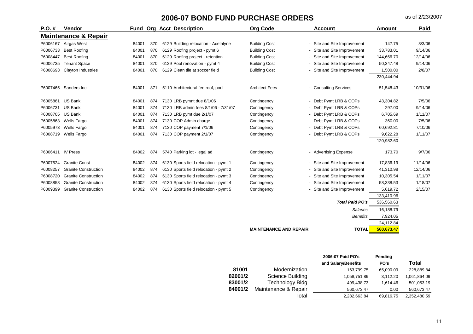| P.O.#    | <b>Vendor</b>                   |       |     | <b>Fund Org Acct Description</b>      | <b>Org Code</b>       | <b>Account</b>              | <b>Amount</b> | Paid     |
|----------|---------------------------------|-------|-----|---------------------------------------|-----------------------|-----------------------------|---------------|----------|
|          | <b>Maintenance &amp; Repair</b> |       |     |                                       |                       |                             |               |          |
| P6006167 | Airgas West                     | 84001 | 870 | 6129 Building relocation - Acetalyne  | <b>Building Cost</b>  | - Site and Site Improvement | 147.75        | 8/3/06   |
| P6006733 | <b>Best Roofing</b>             | 84001 | 870 | 6129 Roofing project - pymt 6         | <b>Building Cost</b>  | - Site and Site Improvement | 33,783.01     | 9/14/06  |
| P6008447 | <b>Best Roofing</b>             | 84001 | 870 | 6129 Roofing project - retention      | <b>Building Cost</b>  | - Site and Site Improvement | 144,666.70    | 12/14/06 |
| P6006735 | <b>Tenant Space</b>             | 84001 | 870 | 6129 Pool renovation - pymt 4         | <b>Building Cost</b>  | - Site and Site Improvement | 50,347.48     | 9/14/06  |
| P6008693 | Clayton Industries              | 84001 | 870 | 6129 Clean tile at soccer field       | <b>Building Cost</b>  | - Site and Site Improvement | 1,500.00      | 2/8/07   |
|          |                                 |       |     |                                       |                       |                             | 230,444.94    |          |
|          | P6007465 Sanders Inc            | 84001 | 871 | 5110 Architectural fee roof, pool     | <b>Architect Fees</b> | - Consulting Services       | 51,548.43     | 10/31/06 |
| P6005861 | <b>US Bank</b>                  | 84001 | 874 | 7130 LRB pymnt due 8/1/06             | Contingency           | - Debt Pymt LRB & COPs      | 43,304.82     | 7/5/06   |
| P6006731 | <b>US Bank</b>                  | 84001 | 874 | 7130 LRB admin fees 8/1/06 - 7/31/07  | Contingency           | - Debt Pymt LRB & COPs      | 297.00        | 9/14/06  |
| P6008705 | <b>US Bank</b>                  | 84001 | 874 | 7130 LRB pymt due 2/1/07              | Contingency           | - Debt Pymt LRB & COPs      | 6,705.69      | 1/11/07  |
| P6005863 | <b>Wells Fargo</b>              | 84001 | 874 | 7130 COP Admin charge                 | Contingency           | - Debt Pymt LRB & COPs      | 360.00        | 7/5/06   |
| P6005973 | <b>Wells Fargo</b>              | 84001 | 874 | 7130 COP payment 7/1/06               | Contingency           | - Debt Pymt LRB & COPs      | 60,692.81     | 7/10/06  |
| P6008719 | <b>Wells Fargo</b>              | 84001 | 874 | 7130 COP payment 2/1/07               | Contingency           | - Debt Pymt LRB & COPs      | 9,622.28      | 1/11/07  |
|          |                                 |       |     |                                       |                       |                             | 120,982.60    |          |
| P6006411 | <b>IV Press</b>                 | 84002 | 874 | 5740 Parking lot - legal ad           | Contingency           | - Advertising Expense       | 173.70        | 9/7/06   |
| P6007524 | <b>Granite Const</b>            | 84002 | 874 | 6130 Sports field relocation - pymt 1 | Contingency           | - Site and Site Improvement | 17,836.19     | 11/14/06 |
| P6008257 | <b>Granite Construction</b>     | 84002 | 874 | 6130 Sports field relocation - pymt 2 | Contingency           | - Site and Site Improvement | 41,310.98     | 12/14/06 |
| P6008720 | <b>Granite Construction</b>     | 84002 | 874 | 6130 Sports field relocation - pymt 3 | Contingency           | - Site and Site Improvement | 10,305.54     | 1/11/07  |
| P6008858 | <b>Granite Construction</b>     | 84002 | 874 | 6130 Sports field relocation - pymt 4 | Contingency           | - Site and Site Improvement | 58,338.53     | 1/18/07  |
| P6009399 | <b>Granite Construction</b>     | 84002 | 874 | 6130 Sports field relocation - pymt 5 | Contingency           | Site and Site Improvement   | 5,619.72      | 2/15/07  |
|          |                                 |       |     |                                       |                       |                             | 133,410.96    |          |
|          |                                 |       |     |                                       |                       | <b>Total Paid PO's</b>      | 536,560.63    |          |
|          |                                 |       |     |                                       |                       | <b>Salaries</b>             | 16,188.79     |          |
|          |                                 |       |     |                                       |                       | <b>Benefits</b>             | 7,924.05      |          |
|          |                                 |       |     |                                       |                       |                             | 24,112.84     |          |

**MAINTENANCE AND REPAIR TOTAL 560,673.47** 

|         |                        | 2006-07 Paid PO's   | Pending   |              |
|---------|------------------------|---------------------|-----------|--------------|
|         |                        | and Salary/Benefits | PO's      | Total        |
| 81001   | Modernization          | 163,799.75          | 65,090.09 | 228,889.84   |
| 82001/2 | Science Building       | 1,058,751.89        | 3,112.20  | 1,061,864.09 |
| 83001/2 | <b>Technology Bldg</b> | 499,438.73          | 1.614.46  | 501,053.19   |
| 84001/2 | Maintenance & Repair   | 560,673.47          | 0.00      | 560,673.47   |
|         | Total                  | 2,282,663.84        | 69,816.75 | 2,352,480.59 |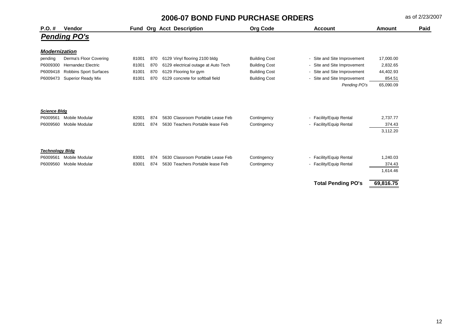| $P.O. \#$              | <b>Vendor</b>                 |       |     | <b>Fund Org Acct Description</b>    | <b>Org Code</b>      | <b>Account</b>              | <b>Amount</b> | Paid |
|------------------------|-------------------------------|-------|-----|-------------------------------------|----------------------|-----------------------------|---------------|------|
|                        | <b>Pending PO's</b>           |       |     |                                     |                      |                             |               |      |
| <b>Modernization</b>   |                               |       |     |                                     |                      |                             |               |      |
| pending                | Derma's Floor Covering        | 81001 | 870 | 6129 Vinyl flooring 2100 bldg       | <b>Building Cost</b> | - Site and Site Improvement | 17,000.00     |      |
| P6009300               | <b>Hernandez Electric</b>     | 81001 | 870 | 6129 electrical outage at Auto Tech | <b>Building Cost</b> | - Site and Site Improvement | 2,832.65      |      |
| P6009418               | <b>Robbins Sport Surfaces</b> | 81001 | 870 | 6129 Flooring for gym               | <b>Building Cost</b> | - Site and Site Improvement | 44,402.93     |      |
| P6009473               | <b>Superior Ready Mix</b>     | 81001 | 870 | 6129 concrete for softball field    | <b>Building Cost</b> | - Site and Site Improvement | 854.51        |      |
|                        |                               |       |     |                                     |                      | Pending PO's                | 65,090.09     |      |
| <b>Science Bldg</b>    |                               |       |     |                                     |                      |                             |               |      |
| P6009561               | <b>Mobile Modular</b>         | 82001 | 874 | 5630 Classroom Portable Lease Feb   | Contingency          | - Facility/Equip Rental     | 2,737.77      |      |
| P6009560               | <b>Mobile Modular</b>         | 82001 | 874 | 5630 Teachers Portable lease Feb    | Contingency          | - Facility/Equip Rental     | 374.43        |      |
|                        |                               |       |     |                                     |                      |                             | 3,112.20      |      |
| <b>Technology Bidg</b> |                               |       |     |                                     |                      |                             |               |      |
| P6009561               | <b>Mobile Modular</b>         | 83001 | 874 | 5630 Classroom Portable Lease Feb   | Contingency          | - Facility/Equip Rental     | 1,240.03      |      |
| P6009560               | <b>Mobile Modular</b>         | 83001 | 874 | 5630 Teachers Portable lease Feb    | Contingency          | - Facility/Equip Rental     | 374.43        |      |
|                        |                               |       |     |                                     |                      |                             | 1,614.46      |      |
|                        |                               |       |     |                                     |                      | <b>Total Pending PO's</b>   | 69,816.75     |      |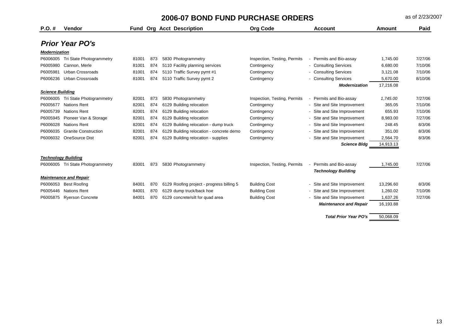| $P.O. \#$               | <b>Vendor</b>                 |       |     | <b>Fund Org Acct Description</b>          | <b>Org Code</b>              | <b>Account</b>                      | Amount    | Paid    |
|-------------------------|-------------------------------|-------|-----|-------------------------------------------|------------------------------|-------------------------------------|-----------|---------|
|                         | <b>Prior Year PO's</b>        |       |     |                                           |                              |                                     |           |         |
| <b>Modernization</b>    |                               |       |     |                                           |                              |                                     |           |         |
| P6006005                | Tri State Photogrammetry      | 81001 | 873 | 5830 Photogrammetry                       | Inspection, Testing, Permits | Permits and Bio-assay               | 1.745.00  | 7/27/06 |
| P6005980                | Cannon, Merle                 | 81001 | 874 | 5110 Facility planning services           | Contingency                  | - Consulting Services               | 6.680.00  | 7/10/06 |
| P6005981                | <b>Urban Crossroads</b>       | 81001 | 874 | 5110 Traffic Survey pymt #1               | Contingency                  | - Consulting Services               | 3,121.08  | 7/10/06 |
| P6006236                | <b>Urban Crossroads</b>       | 81001 | 874 | 5110 Traffic Survey pymt 2                | Contingency                  | - Consulting Services               | 5,670.00  | 8/10/06 |
|                         |                               |       |     |                                           |                              | <b>Modernization</b>                | 17,216.08 |         |
| <b>Science Building</b> |                               |       |     |                                           |                              |                                     |           |         |
| P6006005                | Tri State Photogrammetry      | 82001 | 873 | 5830 Photogrammetry                       | Inspection, Testing, Permits | Permits and Bio-assay               | 1.745.00  | 7/27/06 |
| P6005677                | <b>Nations Rent</b>           | 82001 | 874 | 6129 Building relocation                  | Contingency                  | - Site and Site Improvement         | 365.05    | 7/10/06 |
| P6005739                | <b>Nations Rent</b>           | 82001 | 874 | 6129 Building relocation                  | Contingency                  | Site and Site Improvement<br>$\sim$ | 655.93    | 7/10/06 |
| P6005945                | Pioneer Van & Storage         | 82001 | 874 | 6129 Building relocation                  | Contingency                  | - Site and Site Improvement         | 8,983.00  | 7/27/06 |
| P6006028                | <b>Nations Rent</b>           | 82001 | 874 | 6129 Building relocation - dump truck     | Contingency                  | - Site and Site Improvement         | 248.45    | 8/3/06  |
| P6006035                | <b>Granite Construction</b>   | 82001 | 874 | 6129 Building relocation - concrete demo  | Contingency                  | - Site and Site Improvement         | 351.00    | 8/3/06  |
| P6006032                | OneSource Dist                | 82001 | 874 | 6129 Building relocation - supplies       | Contingency                  | Site and Site Improvement           | 2,564.70  | 8/3/06  |
|                         |                               |       |     |                                           |                              | <b>Science Bldg</b>                 | 14,913.13 |         |
|                         | <b>Technology Building</b>    |       |     |                                           |                              |                                     |           |         |
| P6006005                | Tri State Photogrammetry      | 83001 | 873 | 5830 Photogrammetry                       | Inspection, Testing, Permits | Permits and Bio-assay               | 1,745.00  | 7/27/06 |
|                         |                               |       |     |                                           |                              | <b>Technology Building</b>          |           |         |
|                         | <b>Maintenance and Repair</b> |       |     |                                           |                              |                                     |           |         |
| P6006053                | <b>Best Roofing</b>           | 84001 | 870 | 6129 Roofing project - progress billing 5 | <b>Building Cost</b>         | - Site and Site Improvement         | 13,296.60 | 8/3/06  |
| P6005446                | <b>Nations Rent</b>           | 84001 | 870 | 6129 dump truck/back hoe                  | <b>Building Cost</b>         | Site and Site Improvement<br>$\sim$ | 1,260.02  | 7/10/06 |
| P6005875                | <b>Ryerson Concrete</b>       | 84001 | 870 | 6129 concrete/silt for quad area          | <b>Building Cost</b>         | Site and Site Improvement           | 1,637.26  | 7/27/06 |
|                         |                               |       |     |                                           |                              | <b>Maintenance and Repair</b>       | 16,193.88 |         |
|                         |                               |       |     |                                           |                              | <b>Total Prior Year PO's</b>        | 50.068.09 |         |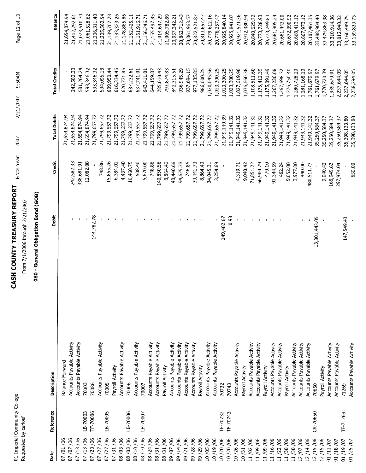| $\mathbf{r}$<br>ļ | ï |
|-------------------|---|
| č                 |   |

## **CASH COUNTY TREASURY REPORT** Fiscal Year: 2007

Page 12 of 13 2/21/2007 9:50AM

From 7/1/2006 through 2/21/2007

### 080 - General Obligation Bond (GOB)

| Date                     | Reference | Description               | Debit         | Credit     | <b>Total Debits</b> | <b>Total Credits</b> | Balance                        |
|--------------------------|-----------|---------------------------|---------------|------------|---------------------|----------------------|--------------------------------|
| 07/01/06                 |           | Balance Forward           |               |            | 21,654,874.94       |                      | 21,654,874.94                  |
| 07/07/06                 |           | Accounts Payable Activity |               | 242,582.33 | 21,654,874.94       | 242,582.33           |                                |
| 07/13/06                 |           | Accounts Payable Activity |               | 338,681.91 | 21,654,874.94       | 581,264.24           | 21,073,610.70<br>21,412,292.61 |
| 07/13/06                 | LB-70003  | 70003                     |               | 12,082.08  | 21,654,874.94       | 593,346.32           | 21,061,528.62                  |
| 07/20/06                 | TF 70086  | 70086                     | 144,782.78    |            | 21,799,657.72       | 593,346.32           | 21,206,311.40                  |
| 07/27/06                 |           | Accounts Payable Activity |               | 748.86     | 21,799,657.72       | 594,095.18           | 21,205,562.54                  |
| 07/27/06                 | LB-70005  | 70005                     |               | 15,855.26  | 21,799,657.72       | 609,950.44           | 21,189,707.28                  |
| 07/31/06                 |           | Payroll Activity          |               | 6,384.02   | 21,799,657.72       | 616,334.46           | 21,183,323.26                  |
| 08 /03 /06               |           | Accounts Payable Activity |               | 4,437.40   | 21,799,657.72       | 620,771.86           | 21,178,885.86                  |
| 08/03/06                 | LB-70006  | 70006                     |               | 16,460.75  | 21,799,657.72       | 637,232.61           | 21,162,425.11                  |
| 08/10/06                 |           | Accounts Payable Activity |               | 508.40     | 21,799,657.72       | 637,741.01           | 21,161,916.71                  |
| 08/10/06                 | LB-70007  | 70007                     |               | 5,670.00   | 21,799,657.72       | 643,411.01           | 21,156,246.71                  |
| 08/24/06                 |           | Accounts Payable Activity |               | 748.86     | 21,799,657.72       | 644,159.87           | 21,155,497.85                  |
| 08/31/06                 |           | Accounts Payable Activity |               | 140,850.56 | 21,799,657.72       | 785,010.43           | 21,014,647.29                  |
| 08/31/06                 |           | Payroll Activity          |               | 8,864.40   | 21,799,657.72       | 793,874.83           | 21,005,782.89                  |
| 09/07/06                 |           | Accounts Payable Activity |               | 48,440.68  | 21,799,657.72       | 842,315.51           | 20,957,342.21                  |
| 09/14/06                 |           | Accounts Payable Activity |               | 94,629.78  | 21,799,657.72       | 936,945.29           | 20,862,712.43                  |
| 09/21/06                 |           | Accounts Payable Activity |               | 748.86     | 21,799,657.72       | 937,694.15           | 20,861,963.57                  |
| 09/28/06                 |           | Accounts Payable Activity |               | 39,441.70  | 21,799,657.72       | 977,135.85           | 20,822,521.87                  |
| 09/29/06                 |           | Payroll Activity          |               | 8,864.40   | 21,799,657.72       | 986,000.25           | 20,813,657.47                  |
| 10/05/06                 |           | Accounts Payable Activity |               | 34,045.31  | 21,799,657.72       | 1,020,045.56         | 20,779,612.16                  |
| 10/19/06                 |           | Accounts Payable Activity |               | 3,254.69   | 21,799,657.72       | 1,023,300.25         | 20,776,357.47                  |
| 10/20/06                 | TF-70732  | 70732                     | 149,482.67    |            | 21,949,140.39       | 1,023,300.25         | 20,925,840.14                  |
| 10/20/06                 | TF-70743  | 70743                     | 0.93          |            | 21,949,141.32       | 1,023,300.25         | 20,925,841.07                  |
| 10/26/06                 |           | Accounts Payable Activity |               | 4,319.71   | 21,949,141.32       | 1,027,619.96         | 20,921,521.36                  |
| 10/31/06                 |           | Payroll Activity          |               | 9,040.42   | 21,949,141.32       | 1,036,660.38         | 20,912,480.94                  |
| 11/02/06                 |           | Accounts Payable Activity |               | 71,851.22  | 21,949,141.32       | 1,108,511.60         | 20,840,629.72                  |
| 11/09/06                 |           | Accounts Payable Activity |               | 66,900.79  | 21,949,141.32       | 1,175,412.39         | 20,773,728.93                  |
| 11/09/06                 |           | Payroll Activity          |               | 479.10     | 21,949,141.32       | 1,175,891.49         | 20,773,249.83                  |
| 11/16/06                 |           | Accounts Payable Activity |               | 91,344.59  | 21,949,141.32       | 1,267,236.08         | 20,681,905.24                  |
| 11/22/06                 |           | Accounts Payable Activity |               | 462.24     | 21,949,141.32       | 1,267,698.32         | 20,681,443.00                  |
| 11/30/06                 |           | Payroll Activity          |               | 9,052.08   | 21,949,141.32       | 1,276,750.40         | 20,672,390.92                  |
| 11/30/06                 |           | Accounts Payable Activity |               | 3,977.80   | 21,949,141.32       | 1,280,728.20         | 20,668,413.12                  |
| 12/07/06                 |           | Accounts Payable Activity |               | 440.00     | 21,949,141.32       | 1,281,168.20         | 20,667,973.12                  |
| 12/14/06                 |           | Accounts Payable Activity |               | 480,511.77 | 21,949,141.32       | 1,761,679.97         | 20,187,461.35                  |
| 12/15/06                 | CR-70650  | 70650                     | 13,301,443.05 |            | 35,250,584.37       | 1,761,679.97         | 33,488,904.40                  |
| 12/15/06                 |           | Payroll Activity          |               | 9,040.42   | 35,250,584.37       | 1,770,720.39         | 33,479,863.98                  |
| 01/11/07                 |           | Accounts Payable Activity |               | 168,949.62 | 35,250,584.37       | 1,939,670.01         | 33,310,914.36                  |
| 01/18/07                 |           | Accounts Payable Activity |               | 297,974.04 | 35, 250, 584.37     | 2,237,644.05         | 33,012,940.32                  |
| 01/19/07                 | TF-71269  | 71269                     | 147,549.43    |            | 35,398,133.80       | 2,237,644.05         | 33,160,489.75                  |
| /25/07<br>$\overline{c}$ |           | Accounts Payable Activity |               | 650.00     | 35,398,133.80       | 2,238,294.05         | 33,159,839.75                  |